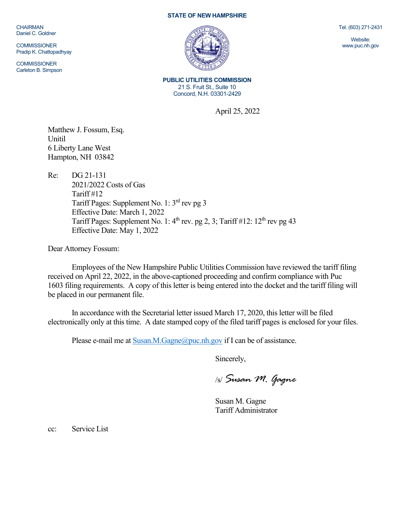CHAIRMAN Daniel C. Goldner

**COMMISSIONER** Pradip K. Chattopadhyay

**COMMISSIONER** Carleton B. Simpson

## **STATE OF NEW HAMPSHIRE**



**PUBLIC UTILITIES COMMISSION** 21 S. Fruit St., Suite 10 Concord, N.H. 03301-2429

April 25, 2022

Matthew J. Fossum, Esq. Unitil 6 Liberty Lane West Hampton, NH 03842

Re: DG 21-131 2021/2022 Costs of Gas Tariff #12 Tariff Pages: Supplement No. 1: 3rd rev pg 3 Effective Date: March 1, 2022 Tariff Pages: Supplement No. 1:  $4<sup>th</sup>$  rev. pg 2, 3; Tariff #12:  $12<sup>th</sup>$  rev pg 43 Effective Date: May 1, 2022

Dear Attorney Fossum:

Employees of the New Hampshire Public Utilities Commission have reviewed the tariff filing received on April 22, 2022, in the above-captioned proceeding and confirm compliance with Puc 1603 filing requirements. A copy of this letter is being entered into the docket and the tariff filing will be placed in our permanent file.

In accordance with the Secretarial letter issued March 17, 2020, this letter will be filed electronically only at this time. A date stamped copy of the filed tariff pages is enclosed for your files.

Please e-mail me a[t Susan.M.Gagne@puc.nh.gov](mailto:Susan.M.Gagne@puc.nh.gov) if I can be of assistance.

Sincerely,

/s/ *Susan M. Gagne*

Susan M. Gagne Tariff Administrator

cc: Service List

Tel. (603) 271-2431

Website: www.puc.nh.gov